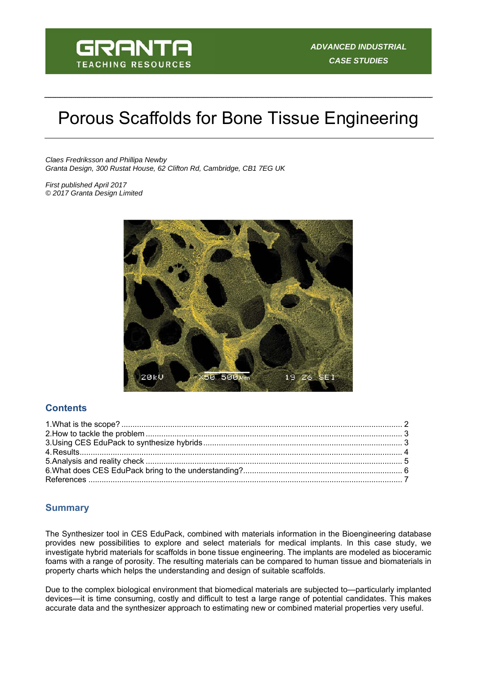

# Porous Scaffolds for Bone Tissue Engineering

*Claes Fredriksson and Phillipa Newby Granta Design, 300 Rustat House, 62 Clifton Rd, Cambridge, CB1 7EG UK* 

*First published April 2017 © 2017 Granta Design Limited* 



## **Contents**

#### **Summary**

The Synthesizer tool in CES EduPack, combined with materials information in the Bioengineering database provides new possibilities to explore and select materials for medical implants. In this case study, we investigate hybrid materials for scaffolds in bone tissue engineering. The implants are modeled as bioceramic foams with a range of porosity. The resulting materials can be compared to human tissue and biomaterials in property charts which helps the understanding and design of suitable scaffolds.

Due to the complex biological environment that biomedical materials are subjected to—particularly implanted devices—it is time consuming, costly and difficult to test a large range of potential candidates. This makes accurate data and the synthesizer approach to estimating new or combined material properties very useful.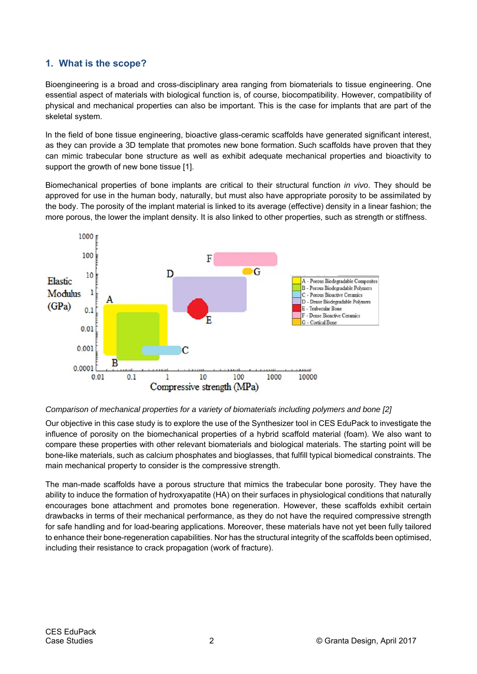## **1. What is the scope?**

Bioengineering is a broad and cross-disciplinary area ranging from biomaterials to tissue engineering. One essential aspect of materials with biological function is, of course, biocompatibility. However, compatibility of physical and mechanical properties can also be important. This is the case for implants that are part of the skeletal system.

In the field of bone tissue engineering, bioactive glass-ceramic scaffolds have generated significant interest, as they can provide a 3D template that promotes new bone formation. Such scaffolds have proven that they can mimic trabecular bone structure as well as exhibit adequate mechanical properties and bioactivity to support the growth of new bone tissue [1].

Biomechanical properties of bone implants are critical to their structural function *in vivo*. They should be approved for use in the human body, naturally, but must also have appropriate porosity to be assimilated by the body. The porosity of the implant material is linked to its average (effective) density in a linear fashion; the more porous, the lower the implant density. It is also linked to other properties, such as strength or stiffness.



#### *Comparison of mechanical properties for a variety of biomaterials including polymers and bone [2]*

Our objective in this case study is to explore the use of the Synthesizer tool in CES EduPack to investigate the influence of porosity on the biomechanical properties of a hybrid scaffold material (foam). We also want to compare these properties with other relevant biomaterials and biological materials. The starting point will be bone-like materials, such as calcium phosphates and bioglasses, that fulfill typical biomedical constraints. The main mechanical property to consider is the compressive strength.

The man-made scaffolds have a porous structure that mimics the trabecular bone porosity. They have the ability to induce the formation of hydroxyapatite (HA) on their surfaces in physiological conditions that naturally encourages bone attachment and promotes bone regeneration. However, these scaffolds exhibit certain drawbacks in terms of their mechanical performance, as they do not have the required compressive strength for safe handling and for load-bearing applications. Moreover, these materials have not yet been fully tailored to enhance their bone-regeneration capabilities. Nor has the structural integrity of the scaffolds been optimised, including their resistance to crack propagation (work of fracture).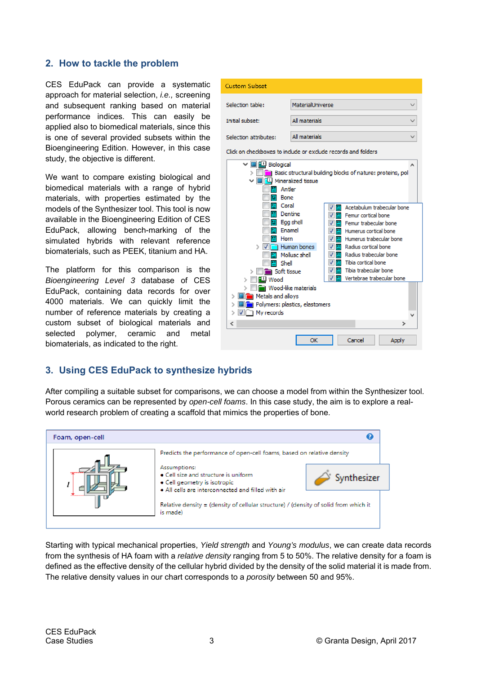#### **2. How to tackle the problem**

CES EduPack can provide a systematic approach for material selection, *i.e.,* screening and subsequent ranking based on material performance indices. This can easily be applied also to biomedical materials, since this is one of several provided subsets within the Bioengineering Edition. However, in this case study, the objective is different.

We want to compare existing biological and biomedical materials with a range of hybrid materials, with properties estimated by the models of the Synthesizer tool. This tool is now available in the Bioengineering Edition of CES EduPack, allowing bench-marking of the simulated hybrids with relevant reference biomaterials, such as PEEK, titanium and HA.

The platform for this comparison is the *Bioengineering Level 3* database of CES EduPack, containing data records for over 4000 materials. We can quickly limit the number of reference materials by creating a custom subset of biological materials and selected polymer, ceramic and metal biomaterials, as indicated to the right.



## **3. Using CES EduPack to synthesize hybrids**

After compiling a suitable subset for comparisons, we can choose a model from within the Synthesizer tool. Porous ceramics can be represented by *open-cell foams*. In this case study, the aim is to explore a realworld research problem of creating a scaffold that mimics the properties of bone.



Starting with typical mechanical properties, *Yield strength* and *Young's modulus*, we can create data records from the synthesis of HA foam with a *relative density* ranging from 5 to 50%. The relative density for a foam is defined as the effective density of the cellular hybrid divided by the density of the solid material it is made from. The relative density values in our chart corresponds to a *porosity* between 50 and 95%.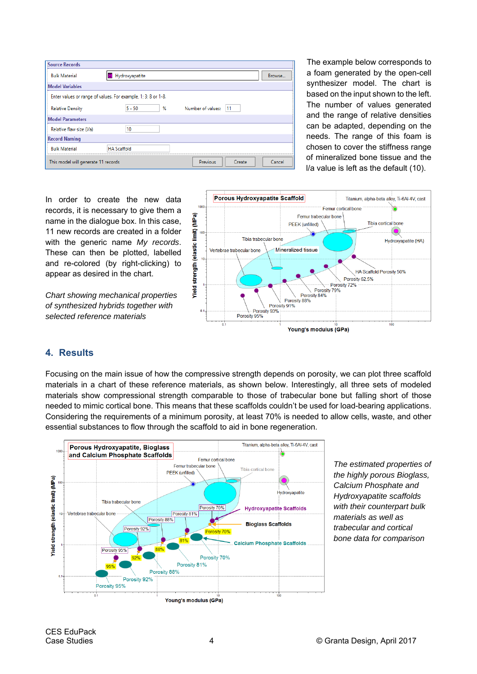| <b>Source Records</b>               |                                                               |   |                         |        |
|-------------------------------------|---------------------------------------------------------------|---|-------------------------|--------|
| <b>Bulk Material</b>                | Hydroxyapatite                                                |   |                         | Browse |
| <b>Model Variables</b>              |                                                               |   |                         |        |
|                                     | Enter values or range of values. For example, 1; 3; 8 or 1-8. |   |                         |        |
| <b>Relative Density</b>             | $5 - 50$                                                      | % | Number of values:<br>11 |        |
| <b>Model Parameters</b>             |                                                               |   |                         |        |
| Relative flaw size (I/a)            | 10                                                            |   |                         |        |
| <b>Record Naming</b>                |                                                               |   |                         |        |
| <b>Bulk Material</b>                | <b>HA Scaffold</b>                                            |   |                         |        |
| This model will generate 11 records |                                                               |   | Previous<br>Create      | Cancel |

The example below corresponds to a foam generated by the open-cell synthesizer model. The chart is based on the input shown to the left. The number of values generated and the range of relative densities can be adapted, depending on the needs. The range of this foam is chosen to cover the stiffness range of mineralized bone tissue and the l/a value is left as the default (10).

In order to create the new data records, it is necessary to give them a name in the dialogue box. In this case, 11 new records are created in a folder with the generic name *My records*. These can then be plotted, labelled and re-colored (by right-clicking) to appear as desired in the chart.

*Chart showing mechanical properties of synthesized hybrids together with selected reference materials* 



## **4. Results**

Focusing on the main issue of how the compressive strength depends on porosity, we can plot three scaffold materials in a chart of these reference materials, as shown below. Interestingly, all three sets of modeled materials show compressional strength comparable to those of trabecular bone but falling short of those needed to mimic cortical bone. This means that these scaffolds couldn't be used for load-bearing applications. Considering the requirements of a minimum porosity, at least 70% is needed to allow cells, waste, and other essential substances to flow through the scaffold to aid in bone regeneration.



*The estimated properties of the highly porous Bioglass, Calcium Phosphate and Hydroxyapatite scaffolds with their counterpart bulk materials as well as trabecular and cortical bone data for comparison*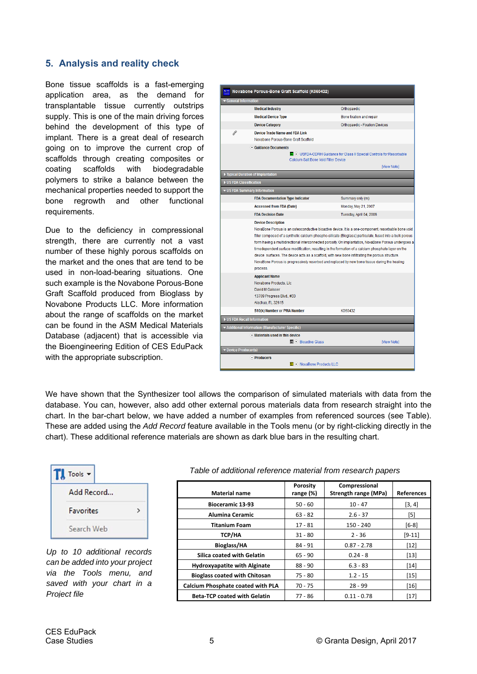## **5. Analysis and reality check**

Bone tissue scaffolds is a fast-emerging application area, as the demand for transplantable tissue currently outstrips supply. This is one of the main driving forces behind the development of this type of implant. There is a great deal of research going on to improve the current crop of scaffolds through creating composites or coating scaffolds with biodegradable polymers to strike a balance between the mechanical properties needed to support the bone regrowth and other functional requirements.

Due to the deficiency in compressional strength, there are currently not a vast number of these highly porous scaffolds on the market and the ones that are tend to be used in non-load-bearing situations. One such example is the Novabone Porous-Bone Graft Scaffold produced from Bioglass by Novabone Products LLC. More information about the range of scaffolds on the market can be found in the ASM Medical Materials Database (adjacent) that is accessible via the Bioengineering Edition of CES EduPack with the appropriate subscription.

|                       | Novabone Porous-Bone Graft Scaffold (K060432)                                                                                                                                                                                                                                                                                                                                                                                                                                                                                                                                                                                                   |                                                                               |  |  |  |
|-----------------------|-------------------------------------------------------------------------------------------------------------------------------------------------------------------------------------------------------------------------------------------------------------------------------------------------------------------------------------------------------------------------------------------------------------------------------------------------------------------------------------------------------------------------------------------------------------------------------------------------------------------------------------------------|-------------------------------------------------------------------------------|--|--|--|
| General Information   |                                                                                                                                                                                                                                                                                                                                                                                                                                                                                                                                                                                                                                                 |                                                                               |  |  |  |
|                       | <b>Medical Industry</b>                                                                                                                                                                                                                                                                                                                                                                                                                                                                                                                                                                                                                         | Orthopaedic                                                                   |  |  |  |
|                       | <b>Medical Device Type</b>                                                                                                                                                                                                                                                                                                                                                                                                                                                                                                                                                                                                                      | Bone fixation and repair                                                      |  |  |  |
|                       | <b>Device Category</b>                                                                                                                                                                                                                                                                                                                                                                                                                                                                                                                                                                                                                          | Orthopaedic - Fixation Devices                                                |  |  |  |
| P                     | Device Trade Name and FDA Link                                                                                                                                                                                                                                                                                                                                                                                                                                                                                                                                                                                                                  |                                                                               |  |  |  |
|                       | Novabone Porous-Bone Graft Scaffold                                                                                                                                                                                                                                                                                                                                                                                                                                                                                                                                                                                                             |                                                                               |  |  |  |
|                       | Guidance Documents<br>Calcium Salt Bone Void Filler Device                                                                                                                                                                                                                                                                                                                                                                                                                                                                                                                                                                                      | <b>SEE ⊙</b> USFDA-CDRH Guidance for Class II Special Controls for Resorbable |  |  |  |
|                       |                                                                                                                                                                                                                                                                                                                                                                                                                                                                                                                                                                                                                                                 | [View Note]                                                                   |  |  |  |
|                       | ▶ Typical Duration of Implantation                                                                                                                                                                                                                                                                                                                                                                                                                                                                                                                                                                                                              |                                                                               |  |  |  |
| US FDA Classification |                                                                                                                                                                                                                                                                                                                                                                                                                                                                                                                                                                                                                                                 |                                                                               |  |  |  |
|                       | ▼ US FDA Summary Information                                                                                                                                                                                                                                                                                                                                                                                                                                                                                                                                                                                                                    |                                                                               |  |  |  |
|                       | <b>FDA Documentation Type Indicator</b>                                                                                                                                                                                                                                                                                                                                                                                                                                                                                                                                                                                                         | Summary only (m)                                                              |  |  |  |
|                       | <b>Accessed from FDA (Date)</b>                                                                                                                                                                                                                                                                                                                                                                                                                                                                                                                                                                                                                 | Monday, May 21, 2007                                                          |  |  |  |
|                       | <b>FDA Decision Date</b>                                                                                                                                                                                                                                                                                                                                                                                                                                                                                                                                                                                                                        | Tuesday, April 04, 2006                                                       |  |  |  |
|                       | NovaBone Porous is an osteoconductive bioactive device. It is a one-component, resorbable bone void<br>filler composed of a synthetic calcium phospho-silicate (Bioglass) particulate, fused into a bulk porous<br>  form having a multidirectional interconnected porosity. On implantation, NovaBone Porous undergoes a<br>timedependent surface modification, resulting in the formation of a calcium phosphate laver on the<br>device surfaces. The device acts as a scaffold, with new bone infiltrating the porous structure.<br>NovaBone Porous is progressively resorbed and replaced by new bone tissue during the healing<br>process. |                                                                               |  |  |  |
|                       | <b>Applicant Name</b><br>Novabone Products, Lic<br>David M Gaisser<br>13709 Progress Blvd., #33<br>Alachua, FL 32615                                                                                                                                                                                                                                                                                                                                                                                                                                                                                                                            |                                                                               |  |  |  |
|                       | 510(k) Number or PMA Number                                                                                                                                                                                                                                                                                                                                                                                                                                                                                                                                                                                                                     | K060432                                                                       |  |  |  |
|                       | US FDA Recall Information                                                                                                                                                                                                                                                                                                                                                                                                                                                                                                                                                                                                                       |                                                                               |  |  |  |
|                       | Additional Information (Manufacturer Specific)                                                                                                                                                                                                                                                                                                                                                                                                                                                                                                                                                                                                  |                                                                               |  |  |  |
|                       | $\bullet$ Materials used in this device                                                                                                                                                                                                                                                                                                                                                                                                                                                                                                                                                                                                         |                                                                               |  |  |  |
|                       | <b>■ → Bioactive Glass</b>                                                                                                                                                                                                                                                                                                                                                                                                                                                                                                                                                                                                                      | [View Note]                                                                   |  |  |  |
| Device Producer(s)    |                                                                                                                                                                                                                                                                                                                                                                                                                                                                                                                                                                                                                                                 |                                                                               |  |  |  |
|                       | $\bullet$ Producers                                                                                                                                                                                                                                                                                                                                                                                                                                                                                                                                                                                                                             |                                                                               |  |  |  |

We have shown that the Synthesizer tool allows the comparison of simulated materials with data from the database. You can, however, also add other external porous materials data from research straight into the chart. In the bar-chart below, we have added a number of examples from referenced sources (see Table). These are added using the *Add Record* feature available in the Tools menu (or by right-clicking directly in the chart). These additional reference materials are shown as dark blue bars in the resulting chart.

| Tools -          |  |
|------------------|--|
| Add Record       |  |
| <b>Favorites</b> |  |
| Search Web       |  |

*Up to 10 additional records can be added into your project via the Tools menu, and saved with your chart in a Project file* 

#### *Table of additional reference material from research papers*

| <b>Material name</b>                     | <b>Porosity</b><br>range (%) | Compressional<br>Strength range (MPa) | <b>References</b> |
|------------------------------------------|------------------------------|---------------------------------------|-------------------|
| <b>Bioceramic 13-93</b>                  | $50 - 60$                    | $10 - 47$                             | [3, 4]            |
| <b>Alumina Ceramic</b>                   | $63 - 82$                    | $2.6 - 37$                            | [5]               |
| <b>Titanium Foam</b>                     | $17 - 81$                    | 150 - 240                             | $[6-8]$           |
| <b>TCP/HA</b>                            | $31 - 80$                    | $2 - 36$                              | $[9-11]$          |
| <b>Bioglass/HA</b>                       | $84 - 91$                    | $0.87 - 2.78$                         | $[12]$            |
| <b>Silica coated with Gelatin</b>        | $65 - 90$                    | $0.24 - 8$                            | $[13]$            |
| <b>Hydroxyapatite with Alginate</b>      | $88 - 90$                    | $6.3 - 83$                            | $[14]$            |
| <b>Bioglass coated with Chitosan</b>     | 75 - 80                      | $1.2 - 15$                            | $[15]$            |
| <b>Calcium Phosphate coated with PLA</b> | $70 - 75$                    | $28 - 99$                             | [16]              |
| <b>Beta-TCP coated with Gelatin</b>      | $77 - 86$                    | $0.11 - 0.78$                         | $[17]$            |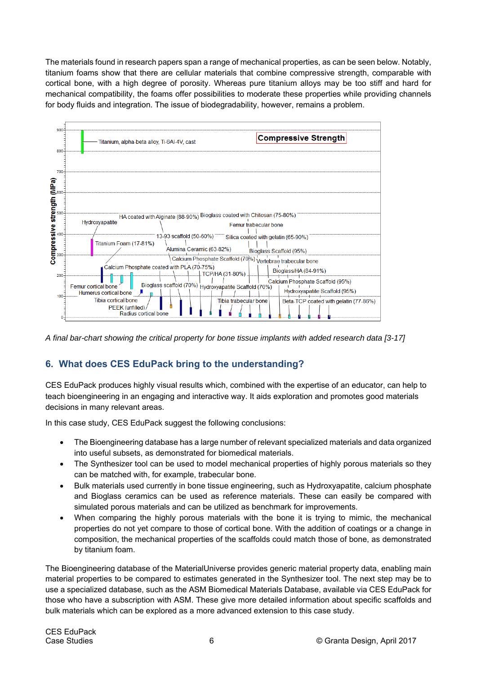The materials found in research papers span a range of mechanical properties, as can be seen below. Notably, titanium foams show that there are cellular materials that combine compressive strength, comparable with cortical bone, with a high degree of porosity. Whereas pure titanium alloys may be too stiff and hard for mechanical compatibility, the foams offer possibilities to moderate these properties while providing channels for body fluids and integration. The issue of biodegradability, however, remains a problem.



*A final bar-chart showing the critical property for bone tissue implants with added research data [3-17]* 

# **6. What does CES EduPack bring to the understanding?**

CES EduPack produces highly visual results which, combined with the expertise of an educator, can help to teach bioengineering in an engaging and interactive way. It aids exploration and promotes good materials decisions in many relevant areas.

In this case study, CES EduPack suggest the following conclusions:

- The Bioengineering database has a large number of relevant specialized materials and data organized into useful subsets, as demonstrated for biomedical materials.
- The Synthesizer tool can be used to model mechanical properties of highly porous materials so they can be matched with, for example, trabecular bone.
- Bulk materials used currently in bone tissue engineering, such as Hydroxyapatite, calcium phosphate and Bioglass ceramics can be used as reference materials. These can easily be compared with simulated porous materials and can be utilized as benchmark for improvements.
- When comparing the highly porous materials with the bone it is trying to mimic, the mechanical properties do not yet compare to those of cortical bone. With the addition of coatings or a change in composition, the mechanical properties of the scaffolds could match those of bone, as demonstrated by titanium foam.

The Bioengineering database of the MaterialUniverse provides generic material property data, enabling main material properties to be compared to estimates generated in the Synthesizer tool. The next step may be to use a specialized database, such as the ASM Biomedical Materials Database, available via CES EduPack for those who have a subscription with ASM. These give more detailed information about specific scaffolds and bulk materials which can be explored as a more advanced extension to this case study.